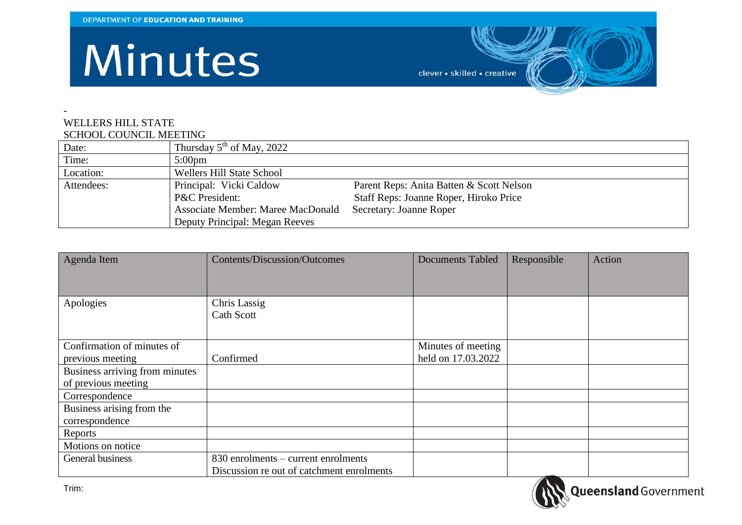## Minutes

clever · skilled · creative

## - WELLERS HILL STATE SCHOOL COUNCIL MEETING

|            | <u>senou cochemini in n</u>              |                                          |  |  |  |  |
|------------|------------------------------------------|------------------------------------------|--|--|--|--|
| Date:      | Thursday $5th$ of May, 2022              |                                          |  |  |  |  |
| Time:      | $5:00 \text{pm}$                         |                                          |  |  |  |  |
| Location:  | Wellers Hill State School                |                                          |  |  |  |  |
| Attendees: | Principal: Vicki Caldow                  | Parent Reps: Anita Batten & Scott Nelson |  |  |  |  |
|            | P&C President:                           | Staff Reps: Joanne Roper, Hiroko Price   |  |  |  |  |
|            | <b>Associate Member: Maree MacDonald</b> | Secretary: Joanne Roper                  |  |  |  |  |
|            | Deputy Principal: Megan Reeves           |                                          |  |  |  |  |

| Agenda Item                    | <b>Contents/Discussion/Outcomes</b>       | <b>Documents Tabled</b> | Responsible | Action |
|--------------------------------|-------------------------------------------|-------------------------|-------------|--------|
|                                |                                           |                         |             |        |
|                                |                                           |                         |             |        |
| Apologies                      | <b>Chris Lassig</b>                       |                         |             |        |
|                                | Cath Scott                                |                         |             |        |
|                                |                                           |                         |             |        |
| Confirmation of minutes of     |                                           | Minutes of meeting      |             |        |
| previous meeting               | Confirmed                                 | held on 17.03.2022      |             |        |
| Business arriving from minutes |                                           |                         |             |        |
| of previous meeting            |                                           |                         |             |        |
| Correspondence                 |                                           |                         |             |        |
| Business arising from the      |                                           |                         |             |        |
| correspondence                 |                                           |                         |             |        |
| Reports                        |                                           |                         |             |        |
| Motions on notice              |                                           |                         |             |        |
| General business               | 830 enrolments – current enrolments       |                         |             |        |
|                                | Discussion re out of catchment enrolments |                         | '           |        |